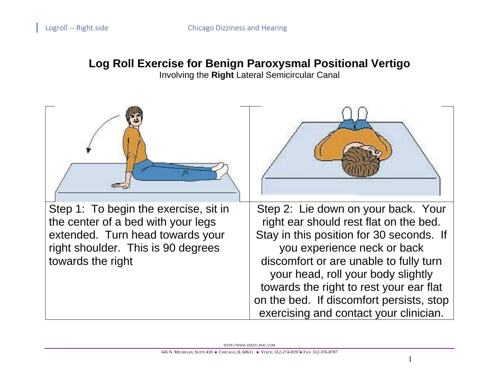## **Log Roll Exercise for Benign Paroxysmal Positional Vertigo**

Involving the **Right** Lateral Semicircular Canal

| Step 1: To begin the exercise, sit in<br>the center of a bed with your legs<br>extended. Turn head towards your<br>right shoulder. This is 90 degrees<br>towards the right | Step 2: Lie down on your back. Your<br>right ear should rest flat on the bed.<br>Stay in this position for 30 seconds. If<br>you experience neck or back<br>discomfort or are unable to fully turn<br>your head, roll your body slightly<br>towards the right to rest your ear flat<br>on the bed. If discomfort persists, stop<br>exercising and contact your clinician. |
|----------------------------------------------------------------------------------------------------------------------------------------------------------------------------|---------------------------------------------------------------------------------------------------------------------------------------------------------------------------------------------------------------------------------------------------------------------------------------------------------------------------------------------------------------------------|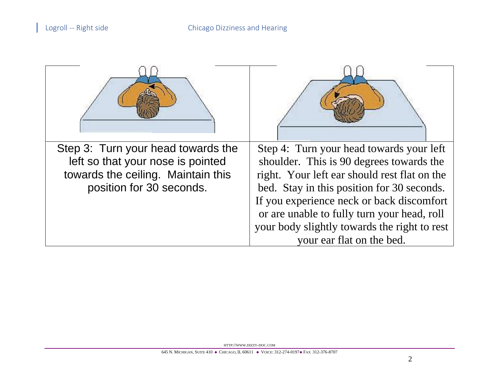| Step 3: Turn your head towards the<br>left so that your nose is pointed<br>towards the ceiling. Maintain this<br>position for 30 seconds. | Step 4: Turn your head towards your left<br>shoulder. This is 90 degrees towards the<br>right. Your left ear should rest flat on the<br>bed. Stay in this position for 30 seconds.<br>If you experience neck or back discomfort<br>or are unable to fully turn your head, roll<br>your body slightly towards the right to rest<br>your ear flat on the bed. |
|-------------------------------------------------------------------------------------------------------------------------------------------|-------------------------------------------------------------------------------------------------------------------------------------------------------------------------------------------------------------------------------------------------------------------------------------------------------------------------------------------------------------|

HTTP://WWW.DIZZY-DOC.COM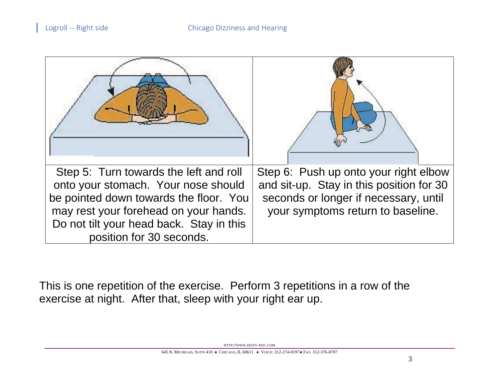| Step 6: Push up onto your right elbow<br>and sit-up. Stay in this position for 30<br>seconds or longer if necessary, until<br>your symptoms return to baseline. |
|-----------------------------------------------------------------------------------------------------------------------------------------------------------------|
|                                                                                                                                                                 |

This is one repetition of the exercise. Perform 3 repetitions in a row of the exercise at night. After that, sleep with your right ear up.

HTTP://WWW.DIZZY-DOC.COM